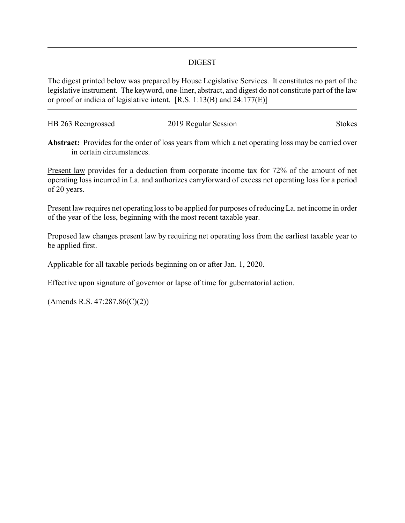## DIGEST

The digest printed below was prepared by House Legislative Services. It constitutes no part of the legislative instrument. The keyword, one-liner, abstract, and digest do not constitute part of the law or proof or indicia of legislative intent. [R.S. 1:13(B) and 24:177(E)]

| HB 263 Reengrossed | 2019 Regular Session | <b>Stokes</b> |
|--------------------|----------------------|---------------|
|                    |                      |               |

**Abstract:** Provides for the order of loss years from which a net operating loss may be carried over in certain circumstances.

Present law provides for a deduction from corporate income tax for 72% of the amount of net operating loss incurred in La. and authorizes carryforward of excess net operating loss for a period of 20 years.

Present law requires net operating loss to be applied for purposes of reducingLa. net income in order of the year of the loss, beginning with the most recent taxable year.

Proposed law changes present law by requiring net operating loss from the earliest taxable year to be applied first.

Applicable for all taxable periods beginning on or after Jan. 1, 2020.

Effective upon signature of governor or lapse of time for gubernatorial action.

(Amends R.S. 47:287.86(C)(2))